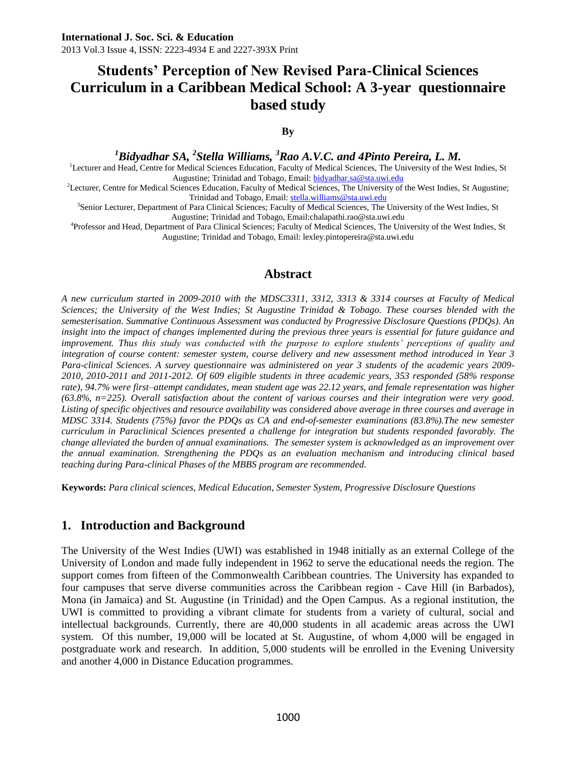# **Students' Perception of New Revised Para-Clinical Sciences Curriculum in a Caribbean Medical School: A 3-year questionnaire based study**

**By**

*<sup>1</sup>Bidyadhar SA, <sup>2</sup> Stella Williams, <sup>3</sup>Rao A.V.C. and 4Pinto Pereira, L. M.*

<sup>1</sup>Lecturer and Head, Centre for Medical Sciences Education, Faculty of Medical Sciences, The University of the West Indies, St Augustine; Trinidad and Tobago, Email: [bidyadhar.sa@sta.uwi.edu](mailto:bidyadhar.sa@sta.uwi.edu)

<sup>2</sup>Lecturer, Centre for Medical Sciences Education, Faculty of Medical Sciences, The University of the West Indies, St Augustine; Trinidad and Tobago, Email[: stella.williams@sta.uwi.edu](mailto:stella.williams@sta.uwi.edu)

3 Senior Lecturer, Department of Para Clinical Sciences; Faculty of Medical Sciences, The University of the West Indies, St Augustine; Trinidad and Tobago, Email:chalapathi.rao@sta.uwi.edu

4 Professor and Head, Department of Para Clinical Sciences; Faculty of Medical Sciences, The University of the West Indies, St Augustine; Trinidad and Tobago, Email: lexley.pintopereira@sta.uwi.edu

### **Abstract**

*A new curriculum started in 2009-2010 with the MDSC3311, 3312, 3313 & 3314 courses at Faculty of Medical Sciences; the University of the West Indies; St Augustine Trinidad & Tobago. These courses blended with the semesterisation. Summative Continuous Assessment was conducted by Progressive Disclosure Questions (PDQs). An insight into the impact of changes implemented during the previous three years is essential for future guidance and improvement. Thus this study was conducted with the purpose to explore students' perceptions of quality and integration of course content: semester system, course delivery and new assessment method introduced in Year 3 Para-clinical Sciences. A survey questionnaire was administered on year 3 students of the academic years 2009- 2010, 2010-2011 and 2011-2012. Of 609 eligible students in three academic years, 353 responded (58% response*  rate), 94.7% were first–attempt candidates, mean student age was 22.12 years, and female representation was higher *(63.8%, n=225). Overall satisfaction about the content of various courses and their integration were very good. Listing of specific objectives and resource availability was considered above average in three courses and average in MDSC 3314. Students (75%) favor the PDQs as CA and end-of-semester examinations (83.8%).The new semester curriculum in Paraclinical Sciences presented a challenge for integration but students responded favorably. The change alleviated the burden of annual examinations. The semester system is acknowledged as an improvement over the annual examination. Strengthening the PDQs as an evaluation mechanism and introducing clinical based teaching during Para-clinical Phases of the MBBS program are recommended.*

**Keywords:** *Para clinical sciences, Medical Education, Semester System, Progressive Disclosure Questions*

### **1. Introduction and Background**

The University of the West Indies (UWI) was established in 1948 initially as an external College of the University of London and made fully independent in 1962 to serve the educational needs the region. The support comes from fifteen of the Commonwealth Caribbean countries. The University has expanded to four campuses that serve diverse communities across the Caribbean region - Cave Hill (in Barbados), Mona (in Jamaica) and St. Augustine (in Trinidad) and the Open Campus. As a regional institution, the UWI is committed to providing a vibrant climate for students from a variety of cultural, social and intellectual backgrounds. Currently, there are 40,000 students in all academic areas across the UWI system. Of this number, 19,000 will be located at St. Augustine, of whom 4,000 will be engaged in postgraduate work and research. In addition, 5,000 students will be enrolled in the Evening University and another 4,000 in Distance Education programmes.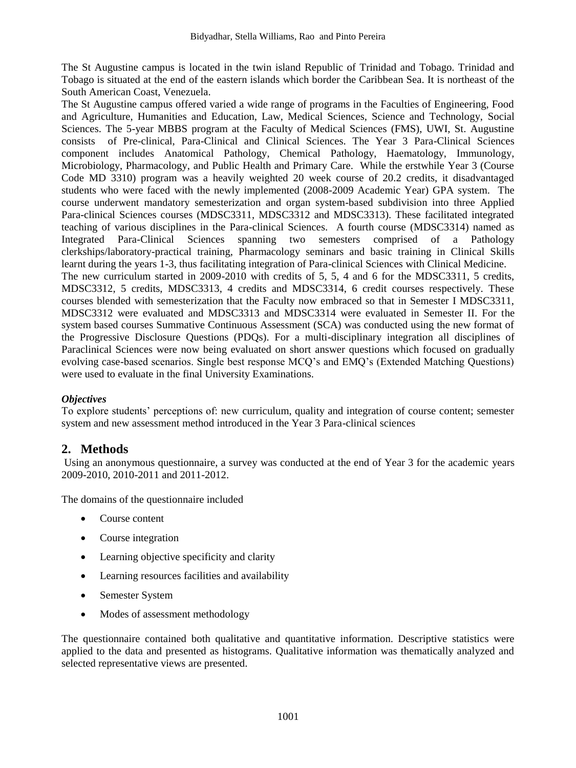The St Augustine campus is located in the twin island Republic of Trinidad and Tobago. Trinidad and Tobago is situated at the end of the eastern islands which border the Caribbean Sea. It is northeast of the South American Coast, Venezuela.

The St Augustine campus offered varied a wide range of programs in the Faculties of Engineering, Food and Agriculture, Humanities and Education, Law, Medical Sciences, Science and Technology, Social Sciences. The 5-year MBBS program at the Faculty of Medical Sciences (FMS), UWI, St. Augustine consists of Pre-clinical, Para-Clinical and Clinical Sciences. The Year 3 Para-Clinical Sciences component includes Anatomical Pathology, Chemical Pathology, Haematology, Immunology, Microbiology, Pharmacology, and Public Health and Primary Care. While the erstwhile Year 3 (Course Code MD 3310) program was a heavily weighted 20 week course of 20.2 credits, it disadvantaged students who were faced with the newly implemented (2008-2009 Academic Year) GPA system. The course underwent mandatory semesterization and organ system-based subdivision into three Applied Para-clinical Sciences courses (MDSC3311, MDSC3312 and MDSC3313). These facilitated integrated teaching of various disciplines in the Para-clinical Sciences. A fourth course (MDSC3314) named as Integrated Para-Clinical Sciences spanning two semesters comprised of a Pathology clerkships/laboratory-practical training, Pharmacology seminars and basic training in Clinical Skills learnt during the years 1-3, thus facilitating integration of Para-clinical Sciences with Clinical Medicine. The new curriculum started in 2009-2010 with credits of 5, 5, 4 and 6 for the MDSC3311, 5 credits, MDSC3312, 5 credits, MDSC3313, 4 credits and MDSC3314, 6 credit courses respectively. These courses blended with semesterization that the Faculty now embraced so that in Semester I MDSC3311, MDSC3312 were evaluated and MDSC3313 and MDSC3314 were evaluated in Semester II. For the system based courses Summative Continuous Assessment (SCA) was conducted using the new format of

the Progressive Disclosure Questions (PDQs). For a multi-disciplinary integration all disciplines of Paraclinical Sciences were now being evaluated on short answer questions which focused on gradually evolving case-based scenarios. Single best response MCQ's and EMQ's (Extended Matching Questions) were used to evaluate in the final University Examinations.

#### *Objectives*

To explore students' perceptions of: new curriculum, quality and integration of course content; semester system and new assessment method introduced in the Year 3 Para-clinical sciences

# **2. Methods**

Using an anonymous questionnaire, a survey was conducted at the end of Year 3 for the academic years 2009-2010, 2010-2011 and 2011-2012.

The domains of the questionnaire included

- Course content
- Course integration
- Learning objective specificity and clarity
- Learning resources facilities and availability
- Semester System
- Modes of assessment methodology

The questionnaire contained both qualitative and quantitative information. Descriptive statistics were applied to the data and presented as histograms. Qualitative information was thematically analyzed and selected representative views are presented.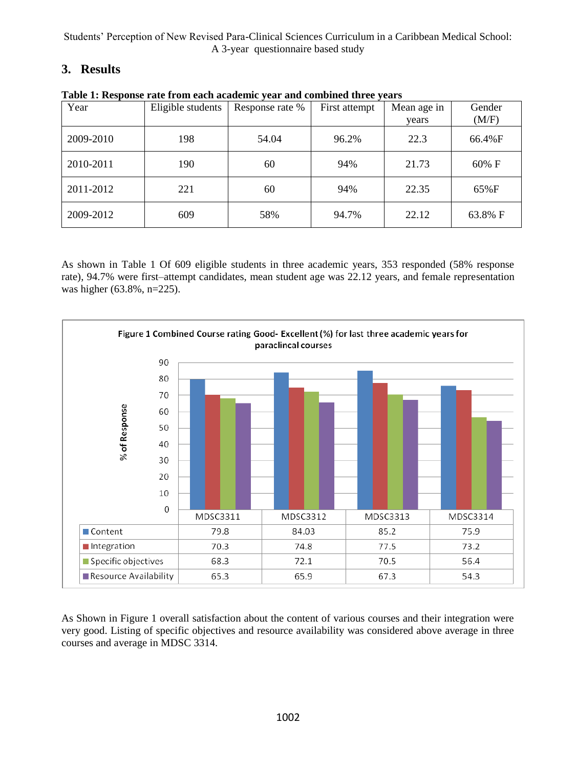Students' Perception of New Revised Para-Clinical Sciences Curriculum in a Caribbean Medical School: A 3-year questionnaire based study

# **3. Results**

| Year      | Eligible students | Response rate % | First attempt | Mean age in<br>years | Gender<br>(M/F) |
|-----------|-------------------|-----------------|---------------|----------------------|-----------------|
| 2009-2010 | 198               | 54.04           | 96.2%         | 22.3                 | 66.4%F          |
| 2010-2011 | 190               | 60              | 94%           | 21.73                | $60\%$ F        |
| 2011-2012 | 221               | 60              | 94%           | 22.35                | 65%F            |
| 2009-2012 | 609               | 58%             | 94.7%         | 22.12                | 63.8% F         |

**Table 1: Response rate from each academic year and combined three years**

As shown in Table 1 Of 609 eligible students in three academic years, 353 responded (58% response rate), 94.7% were first–attempt candidates, mean student age was 22.12 years, and female representation was higher (63.8%, n=225).



As Shown in Figure 1 overall satisfaction about the content of various courses and their integration were very good. Listing of specific objectives and resource availability was considered above average in three courses and average in MDSC 3314.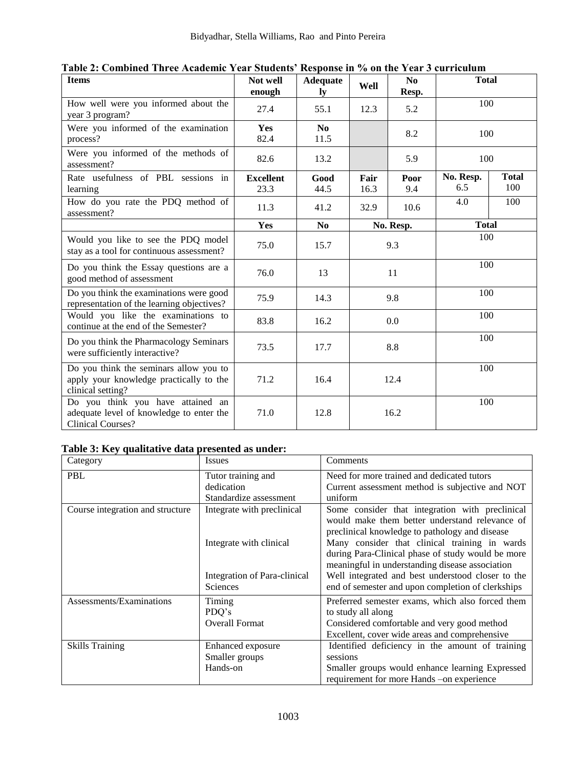| <b>Items</b>                                                                                              | Not well<br>enough       | <b>Adequate</b><br>ly  | Well         | No<br>Resp. | <b>Total</b>     |                     |
|-----------------------------------------------------------------------------------------------------------|--------------------------|------------------------|--------------|-------------|------------------|---------------------|
| How well were you informed about the<br>year 3 program?                                                   | 27.4                     | 55.1                   | 12.3         | 5.2         | 100              |                     |
| Were you informed of the examination<br>process?                                                          | <b>Yes</b><br>82.4       | N <sub>0</sub><br>11.5 |              | 8.2         | 100              |                     |
| Were you informed of the methods of<br>assessment?                                                        | 82.6                     | 13.2                   |              | 5.9         | 100              |                     |
| Rate usefulness of PBL sessions in<br>learning                                                            | <b>Excellent</b><br>23.3 | Good<br>44.5           | Fair<br>16.3 | Poor<br>9.4 | No. Resp.<br>6.5 | <b>Total</b><br>100 |
| How do you rate the PDQ method of<br>assessment?                                                          | 11.3                     | 41.2                   | 32.9         | 10.6        | 4.0              | 100                 |
|                                                                                                           | Yes                      | N <sub>0</sub>         |              | No. Resp.   | <b>Total</b>     |                     |
| Would you like to see the PDQ model<br>stay as a tool for continuous assessment?                          | 75.0                     | 15.7                   | 9.3          |             | 100              |                     |
| Do you think the Essay questions are a<br>good method of assessment                                       | 76.0                     | 13                     | 11           |             | 100              |                     |
| Do you think the examinations were good<br>representation of the learning objectives?                     | 75.9                     | 14.3                   | 9.8          |             | 100              |                     |
| Would you like the examinations to<br>continue at the end of the Semester?                                | 83.8                     | 16.2                   | 0.0          |             | 100              |                     |
| Do you think the Pharmacology Seminars<br>were sufficiently interactive?                                  | 73.5                     | 17.7                   | 8.8          |             | 100              |                     |
| Do you think the seminars allow you to<br>apply your knowledge practically to the<br>clinical setting?    | 71.2                     | 16.4                   | 12.4         |             | 100              |                     |
| Do you think you have attained an<br>adequate level of knowledge to enter the<br><b>Clinical Courses?</b> | 71.0                     | 12.8                   | 16.2         |             | 100              |                     |

# **Table 3: Key qualitative data presented as under:**

| Category                         | <b>Issues</b>                                                                                            | Comments                                                                                                                                                                                                                                                                                                                                                                                                               |
|----------------------------------|----------------------------------------------------------------------------------------------------------|------------------------------------------------------------------------------------------------------------------------------------------------------------------------------------------------------------------------------------------------------------------------------------------------------------------------------------------------------------------------------------------------------------------------|
| <b>PBL</b>                       | Tutor training and<br>dedication<br>Standardize assessment                                               | Need for more trained and dedicated tutors<br>Current assessment method is subjective and NOT<br>uniform                                                                                                                                                                                                                                                                                                               |
| Course integration and structure | Integrate with preclinical<br>Integrate with clinical<br>Integration of Para-clinical<br><b>Sciences</b> | Some consider that integration with preclinical<br>would make them better understand relevance of<br>preclinical knowledge to pathology and disease<br>Many consider that clinical training in wards<br>during Para-Clinical phase of study would be more<br>meaningful in understanding disease association<br>Well integrated and best understood closer to the<br>end of semester and upon completion of clerkships |
| Assessments/Examinations         | Timing<br>PDO's<br><b>Overall Format</b>                                                                 | Preferred semester exams, which also forced them<br>to study all along<br>Considered comfortable and very good method<br>Excellent, cover wide areas and comprehensive                                                                                                                                                                                                                                                 |
| <b>Skills Training</b>           | Enhanced exposure<br>Smaller groups<br>Hands-on                                                          | Identified deficiency in the amount of training<br>sessions<br>Smaller groups would enhance learning Expressed<br>requirement for more Hands –on experience                                                                                                                                                                                                                                                            |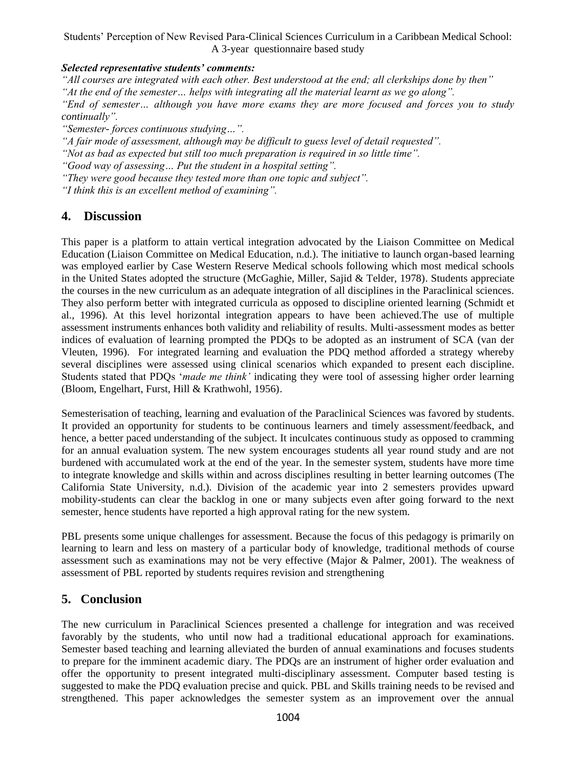Students' Perception of New Revised Para-Clinical Sciences Curriculum in a Caribbean Medical School: A 3-year questionnaire based study

#### *Selected representative students' comments:*

*"All courses are integrated with each other. Best understood at the end; all clerkships done by then" "At the end of the semester… helps with integrating all the material learnt as we go along". "End of semester… although you have more exams they are more focused and forces you to study continually".*

*"Semester- forces continuous studying…".*

*"A fair mode of assessment, although may be difficult to guess level of detail requested".*

*"Not as bad as expected but still too much preparation is required in so little time".*

*"Good way of assessing… Put the student in a hospital setting".*

*"They were good because they tested more than one topic and subject".*

*"I think this is an excellent method of examining".*

# **4. Discussion**

This paper is a platform to attain vertical integration advocated by the Liaison Committee on Medical Education (Liaison Committee on Medical Education, n.d.). The initiative to launch organ-based learning was employed earlier by Case Western Reserve Medical schools following which most medical schools in the United States adopted the structure (McGaghie, Miller, Sajid & Telder, 1978). Students appreciate the courses in the new curriculum as an adequate integration of all disciplines in the Paraclinical sciences. They also perform better with integrated curricula as opposed to discipline oriented learning (Schmidt et al., 1996). At this level horizontal integration appears to have been achieved.The use of multiple assessment instruments enhances both validity and reliability of results. Multi-assessment modes as better indices of evaluation of learning prompted the PDQs to be adopted as an instrument of SCA (van der Vleuten, 1996). For integrated learning and evaluation the PDQ method afforded a strategy whereby several disciplines were assessed using clinical scenarios which expanded to present each discipline. Students stated that PDQs '*made me think'* indicating they were tool of assessing higher order learning (Bloom, Engelhart, Furst, Hill & Krathwohl, 1956).

Semesterisation of teaching, learning and evaluation of the Paraclinical Sciences was favored by students. It provided an opportunity for students to be continuous learners and timely assessment/feedback, and hence, a better paced understanding of the subject. It inculcates continuous study as opposed to cramming for an annual evaluation system. The new system encourages students all year round study and are not burdened with accumulated work at the end of the year. In the semester system, students have more time to integrate knowledge and skills within and across disciplines resulting in better learning outcomes (The California State University, n.d.). Division of the academic year into 2 semesters provides upward mobility-students can clear the backlog in one or many subjects even after going forward to the next semester, hence students have reported a high approval rating for the new system.

PBL presents some unique challenges for assessment. Because the focus of this pedagogy is primarily on learning to learn and less on mastery of a particular body of knowledge, traditional methods of course assessment such as examinations may not be very effective (Major & Palmer, 2001). The weakness of assessment of PBL reported by students requires revision and strengthening

### **5. Conclusion**

The new curriculum in Paraclinical Sciences presented a challenge for integration and was received favorably by the students, who until now had a traditional educational approach for examinations. Semester based teaching and learning alleviated the burden of annual examinations and focuses students to prepare for the imminent academic diary. The PDQs are an instrument of higher order evaluation and offer the opportunity to present integrated multi-disciplinary assessment. Computer based testing is suggested to make the PDQ evaluation precise and quick. PBL and Skills training needs to be revised and strengthened. This paper acknowledges the semester system as an improvement over the annual